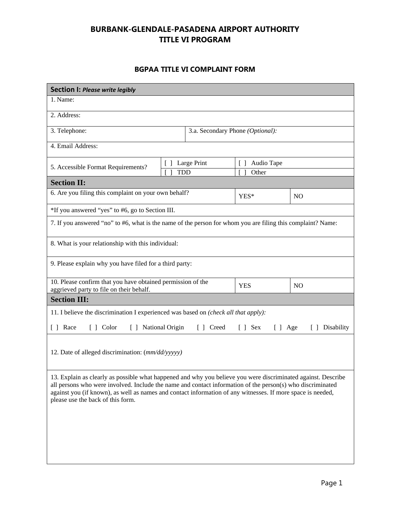## **BURBANK-GLENDALE-PASADENA AIRPORT AUTHORITY TITLE VI PROGRAM**

## **BGPAA TITLE VI COMPLAINT FORM**

| <b>Section I: Please write legibly</b>                                                                                                                                                                                                                                                                                                                                          |             |                                                        |                |  |  |
|---------------------------------------------------------------------------------------------------------------------------------------------------------------------------------------------------------------------------------------------------------------------------------------------------------------------------------------------------------------------------------|-------------|--------------------------------------------------------|----------------|--|--|
| 1. Name:                                                                                                                                                                                                                                                                                                                                                                        |             |                                                        |                |  |  |
| 2. Address:                                                                                                                                                                                                                                                                                                                                                                     |             |                                                        |                |  |  |
| 3. Telephone:                                                                                                                                                                                                                                                                                                                                                                   |             | 3.a. Secondary Phone (Optional):                       |                |  |  |
| 4. Email Address:                                                                                                                                                                                                                                                                                                                                                               |             |                                                        |                |  |  |
| $\begin{bmatrix} \end{bmatrix}$<br>5. Accessible Format Requirements?<br><b>TDD</b>                                                                                                                                                                                                                                                                                             | Large Print | Audio Tape<br>$\begin{bmatrix} \end{bmatrix}$<br>Other |                |  |  |
| <b>Section II:</b>                                                                                                                                                                                                                                                                                                                                                              |             |                                                        |                |  |  |
| 6. Are you filing this complaint on your own behalf?                                                                                                                                                                                                                                                                                                                            |             | YES*                                                   | N <sub>O</sub> |  |  |
| *If you answered "yes" to #6, go to Section III.                                                                                                                                                                                                                                                                                                                                |             |                                                        |                |  |  |
| 7. If you answered "no" to #6, what is the name of the person for whom you are filing this complaint? Name:                                                                                                                                                                                                                                                                     |             |                                                        |                |  |  |
| 8. What is your relationship with this individual:                                                                                                                                                                                                                                                                                                                              |             |                                                        |                |  |  |
| 9. Please explain why you have filed for a third party:                                                                                                                                                                                                                                                                                                                         |             |                                                        |                |  |  |
| 10. Please confirm that you have obtained permission of the<br>aggrieved party to file on their behalf.                                                                                                                                                                                                                                                                         |             | <b>YES</b>                                             | N <sub>O</sub> |  |  |
| <b>Section III:</b>                                                                                                                                                                                                                                                                                                                                                             |             |                                                        |                |  |  |
| 11. I believe the discrimination I experienced was based on (check all that apply):                                                                                                                                                                                                                                                                                             |             |                                                        |                |  |  |
| [ ] Race<br>[ ] Color<br>[ ] National Origin                                                                                                                                                                                                                                                                                                                                    | [ ] Creed   | $[$ $]$ Sex<br>$[ ]$ Age                               | [ ] Disability |  |  |
| 12. Date of alleged discrimination: (mm/dd/yyyyy)                                                                                                                                                                                                                                                                                                                               |             |                                                        |                |  |  |
| 13. Explain as clearly as possible what happened and why you believe you were discriminated against. Describe<br>all persons who were involved. Include the name and contact information of the person(s) who discriminated<br>against you (if known), as well as names and contact information of any witnesses. If more space is needed,<br>please use the back of this form. |             |                                                        |                |  |  |
|                                                                                                                                                                                                                                                                                                                                                                                 |             |                                                        |                |  |  |